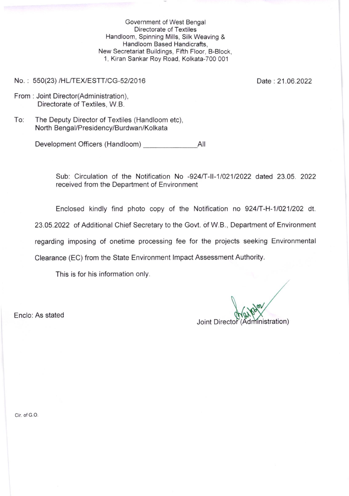Government of West Bengal Directorate of Textiles Handloom, Spinning Mills, Silk Weaving & Handloom Based Handicrafts, New Secretariat Euildings, Fifth Floor, B-Block, <sup>1</sup>, Kiran Sankar Roy Road, Kolkata-7OO 001

No.: 550(23) /HL/TEX/ESTT/CG-52/2016

Date: 21.06.2022

- From : Joint Director(Administration), Directorate of Textiles, W.B.
- To: The Deputy Director of Textiles (Handloom etc), North Bengal/Presidency/Burdwan/Kolkata

Development Officers (Handloom) Ail

Sub: Circulation of the Notification No -924/T-II-1/021/2022 dated 23.05. 2022 received from the Department of Environment

Enclosed kindly find photo copy of the Notification no 924/T-H-1/021/202 dt.

23.05.2022 of Additional Chief Secretary to the Govt. of W.B., Department of Environment

regarding imposing of onetime processing fee for the projects seeking Environmental

Clearance (EC) from the State Environment lmpact Assessment Authority.

This is for his information only.

Enclo: As stated

Joint Director (Administration)

Cir. of G.O.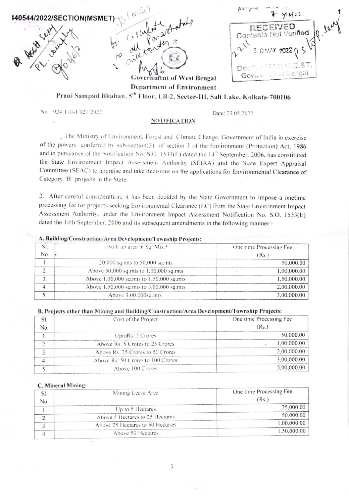

Prani Sampad Bhaban, 5<sup>th</sup> Floor, LB-2, Sector-III, Salt Lake, Kolkata-700106

No. 924/T-II-1/021/2022

Date: 23.05.2022

## **NOTIFICATION**

» The Ministry of Environment. Forest and Climate Change, Government of India in exercise of the powers conferred by sub-section(3) of section 3 of the Environment (Protection) Act, 1986 and in pursuance of the Notification No. S.O. 1533(E) dated the 14<sup>th</sup> September, 2006, has constituted the State Environment Impact Assessment Authority (SEIAA) and the State Expert Appraisal Committee (SEAC) to appraise and take decisions on the applications for Environmental Clearance of Category 'B' projects in the State.

2. After careful consideration, it has been decided by the State Government to impose a onetime processing fee for projects seeking Environmental Clearance (EC) from the State Environment Impact Assessment Authority, under the Environment Impact Assessment Notification No. S.O. 1533(E) dated the 14th September, 2006 and its subsequent amendments in the following manner:-

## A. Building/Construction/Area Development/Township Projects:

|    | Built up area in Sq. Mts. <sup>*</sup>   | One time Processing Fee |
|----|------------------------------------------|-------------------------|
| NΟ |                                          | (Rs.)                   |
|    | 20,000 sq.mts to 50,000 sq.mts           | 50,000.00               |
|    | Above 50,000 sq.mts to 1.00,000 sq.mts   | 1.00.000.00             |
|    | Above 1,00,000 sq.mts to 1,50,000 sq.mts | 1.50.000.00             |
|    | Above 1,50,000 sq.mts to 3,00,000 sq.mts | 2.00.000.00             |
|    | Above 3.00,000sq.mts.                    | 3.00.000.00             |

## B. Projects other than Mining and Building/Construction/Area Development/Township Projects:

|     | Cost of the Project               | One time Processing Fee |
|-----|-----------------------------------|-------------------------|
| Ńо. |                                   | (Rs.)                   |
|     | UptoRs. 5 Crores                  | 50,000.00               |
|     | Above Rs. 5 Crores to 25 Crores   | 0.000000                |
|     | Above Rs. 25 Crores to 50 Crores  | 2,00,000.00             |
|     | Above Rs. 50 Crores to 100 Crores | 3.00.000.00             |
|     | Above 100 Crores                  | 5.00.000                |
|     |                                   |                         |

## C. Mineral Mining:

|         | Mining Lease Area                | One time Processing Fee |
|---------|----------------------------------|-------------------------|
| $N_{0}$ |                                  | (Rs.)                   |
|         | Up to 5 Hectares                 | 25,000.00               |
|         | Above 5 Hectares to 25 Hectares  | 50.000.00               |
|         | Above 25 Hectares to 50 Hectares | 1,00,000.00             |
|         | Above 50 Hectares                | 1,50,000.00             |